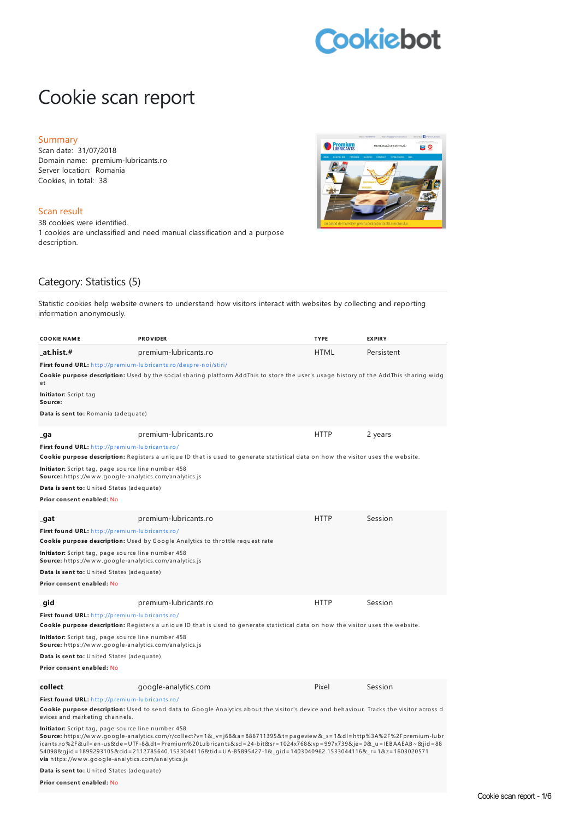# Cookiebot

# Cookie scan report

#### Summary

Scan date: 31/07/2018 Domain name: premium-lubricants.ro Server location: Romania Cookies, in total: 38

#### Scan result

38 cookies were identified. 1 cookies are unclassified and need manual classification and a purpose description.



### Category: Statistics (5)

Statistic cookies help website owners to understand how visitors interact with websites by collecting and reporting information anonymously.

| <b>COOKIE NAME</b>                                                                                                        | <b>PROVIDER</b>                                                                                                                                                                                                                                                                                                                                                     | <b>TYPE</b> | <b>EXPIRY</b> |
|---------------------------------------------------------------------------------------------------------------------------|---------------------------------------------------------------------------------------------------------------------------------------------------------------------------------------------------------------------------------------------------------------------------------------------------------------------------------------------------------------------|-------------|---------------|
| at.hist.#                                                                                                                 | premium-lubricants.ro                                                                                                                                                                                                                                                                                                                                               | <b>HTML</b> | Persistent    |
| First found URL: http://premium-lubricants.ro/despre-noi/stiri/                                                           | <b>Cookie purpose description:</b> Used by the social sharing platform AddThis to store the user's usage history of the AddThis sharing widg                                                                                                                                                                                                                        |             |               |
| еt                                                                                                                        |                                                                                                                                                                                                                                                                                                                                                                     |             |               |
| <b>Initiator:</b> Script tag<br>Source:                                                                                   |                                                                                                                                                                                                                                                                                                                                                                     |             |               |
| Data is sent to: Romania (adequate)                                                                                       |                                                                                                                                                                                                                                                                                                                                                                     |             |               |
| _ga                                                                                                                       | premium-lubricants.ro                                                                                                                                                                                                                                                                                                                                               | <b>HTTP</b> | 2 years       |
| First found URL: http://premium-lubricants.ro/                                                                            |                                                                                                                                                                                                                                                                                                                                                                     |             |               |
|                                                                                                                           | Cookie purpose description: Registers a unique ID that is used to generate statistical data on how the visitor uses the website.                                                                                                                                                                                                                                    |             |               |
| Initiator: Script tag, page source line number 458<br>Source: https://www.google-analytics.com/analytics.js               |                                                                                                                                                                                                                                                                                                                                                                     |             |               |
| Data is sent to: United States (adequate)                                                                                 |                                                                                                                                                                                                                                                                                                                                                                     |             |               |
| Prior consent enabled: No                                                                                                 |                                                                                                                                                                                                                                                                                                                                                                     |             |               |
| _gat                                                                                                                      | premium-lubricants.ro                                                                                                                                                                                                                                                                                                                                               | <b>HTTP</b> | Session       |
| First found URL: http://premium-lubricants.ro/                                                                            |                                                                                                                                                                                                                                                                                                                                                                     |             |               |
|                                                                                                                           | Cookie purpose description: Used by Google Analytics to throttle request rate                                                                                                                                                                                                                                                                                       |             |               |
| Initiator: Script tag, page source line number 458<br><b>Source:</b> https://www.google-analytics.com/analytics.js        |                                                                                                                                                                                                                                                                                                                                                                     |             |               |
| Data is sent to: United States (adequate)                                                                                 |                                                                                                                                                                                                                                                                                                                                                                     |             |               |
| Prior consent enabled: No                                                                                                 |                                                                                                                                                                                                                                                                                                                                                                     |             |               |
| qid                                                                                                                       | premium-lubricants.ro                                                                                                                                                                                                                                                                                                                                               | <b>HTTP</b> | Session       |
| First found URL: http://premium-lubricants.ro/                                                                            |                                                                                                                                                                                                                                                                                                                                                                     |             |               |
|                                                                                                                           | Cookie purpose description: Registers a unique ID that is used to generate statistical data on how the visitor uses the website.                                                                                                                                                                                                                                    |             |               |
| <b>Initiator:</b> Script tag, page source line number 458<br><b>Source:</b> https://www.google-analytics.com/analytics.js |                                                                                                                                                                                                                                                                                                                                                                     |             |               |
| Data is sent to: United States (adequate)                                                                                 |                                                                                                                                                                                                                                                                                                                                                                     |             |               |
| Prior consent enabled: No                                                                                                 |                                                                                                                                                                                                                                                                                                                                                                     |             |               |
| collect                                                                                                                   | google-analytics.com                                                                                                                                                                                                                                                                                                                                                | Pixel       | Session       |
| First found URL: http://premium-lubricants.ro/                                                                            |                                                                                                                                                                                                                                                                                                                                                                     |             |               |
| evices and marketing channels.                                                                                            | Cookie purpose description: Used to send data to Google Analytics about the visitor's device and behaviour. Tracks the visitor across d                                                                                                                                                                                                                             |             |               |
| Initiator: Script tag, page source line number 458                                                                        | Source: https://www.google-analytics.com/r/collect?v=1&_v=j68&a=886711395&t=pageview&_s=1&dl=http%3A%2F%2Fpremium-lubr<br>icants.ro%2F&ul=en-us&de=UTF-8&dt=Premium%20Lubricants&sd=24-bit&sr=1024x768&vp=997x739&je=0&u=IEBAAEAB~&jid=88<br>54098&gjid = 1899293105&cid = 2112785640.1533044116&tid = UA-85895427-1&_gid = 1403040962.1533044116&_r=1&z=1603020571 |             |               |

**via** h ttps://w w w .google-an alytics.com/an alytics.js

**Data is sent to:** United States (adequate)

**Prior consent enabled:** No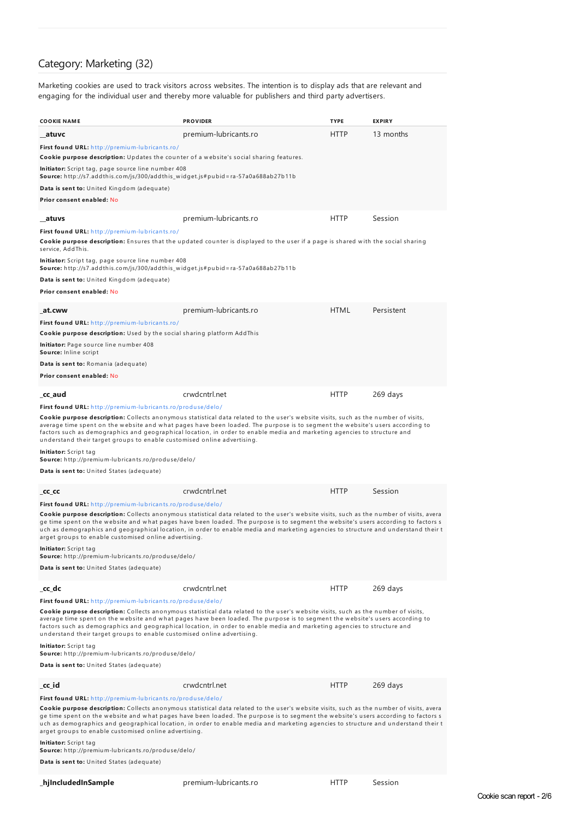# Category: Marketing (32)

Marketing cookies are used to track visitors across websites. The intention is to display ads that are relevant and engaging for the individual user and thereby more valuable for publishers and third party advertisers.

| <b>COOKIE NAME</b>                                                                                                                                                                                                                                                                                                                                                                                                                                                             | <b>PROVIDER</b>                                                                                                                                                                                                                                                                                                                                                                                  | <b>TYPE</b> | <b>EXPIRY</b> |
|--------------------------------------------------------------------------------------------------------------------------------------------------------------------------------------------------------------------------------------------------------------------------------------------------------------------------------------------------------------------------------------------------------------------------------------------------------------------------------|--------------------------------------------------------------------------------------------------------------------------------------------------------------------------------------------------------------------------------------------------------------------------------------------------------------------------------------------------------------------------------------------------|-------------|---------------|
| atuvc                                                                                                                                                                                                                                                                                                                                                                                                                                                                          | premium-lubricants.ro                                                                                                                                                                                                                                                                                                                                                                            | <b>HTTP</b> | 13 months     |
| First found URL: http://premium-lubricants.ro/                                                                                                                                                                                                                                                                                                                                                                                                                                 |                                                                                                                                                                                                                                                                                                                                                                                                  |             |               |
| Cookie purpose description: Updates the counter of a website's social sharing features.                                                                                                                                                                                                                                                                                                                                                                                        |                                                                                                                                                                                                                                                                                                                                                                                                  |             |               |
| <b>Initiator:</b> Script tag, page source line number 408<br>Source: http://s7.addthis.com/js/300/addthis_widget.js#pubid=ra-57a0a688ab27b11b                                                                                                                                                                                                                                                                                                                                  |                                                                                                                                                                                                                                                                                                                                                                                                  |             |               |
| <b>Data is sent to:</b> United Kingdom (adequate)                                                                                                                                                                                                                                                                                                                                                                                                                              |                                                                                                                                                                                                                                                                                                                                                                                                  |             |               |
| Prior consent enabled: No                                                                                                                                                                                                                                                                                                                                                                                                                                                      |                                                                                                                                                                                                                                                                                                                                                                                                  |             |               |
| atuvs                                                                                                                                                                                                                                                                                                                                                                                                                                                                          | premium-lubricants.ro                                                                                                                                                                                                                                                                                                                                                                            | <b>HTTP</b> | Session       |
| First found URL: http://premium-lubricants.ro/<br>service, AddThis.                                                                                                                                                                                                                                                                                                                                                                                                            | Cookie purpose description: Ensures that the updated counter is displayed to the user if a page is shared with the social sharing                                                                                                                                                                                                                                                                |             |               |
| <b>Initiator:</b> Script tag, page source line number 408<br>Source: http://s7.addthis.com/js/300/addthis_widget.js#pubid=ra-57a0a688ab27b11b                                                                                                                                                                                                                                                                                                                                  |                                                                                                                                                                                                                                                                                                                                                                                                  |             |               |
| <b>Data is sent to:</b> United Kingdom (adequate)                                                                                                                                                                                                                                                                                                                                                                                                                              |                                                                                                                                                                                                                                                                                                                                                                                                  |             |               |
| Prior consent enabled: No                                                                                                                                                                                                                                                                                                                                                                                                                                                      |                                                                                                                                                                                                                                                                                                                                                                                                  |             |               |
| at.cww                                                                                                                                                                                                                                                                                                                                                                                                                                                                         | premium-lubricants.ro                                                                                                                                                                                                                                                                                                                                                                            | <b>HTML</b> | Persistent    |
| First found URL: http://premium-lubricants.ro/<br>Cookie purpose description: Used by the social sharing platform AddThis                                                                                                                                                                                                                                                                                                                                                      |                                                                                                                                                                                                                                                                                                                                                                                                  |             |               |
| Initiator: Page source line number 408<br>Source: Inline script                                                                                                                                                                                                                                                                                                                                                                                                                |                                                                                                                                                                                                                                                                                                                                                                                                  |             |               |
| Data is sent to: Romania (adequate)                                                                                                                                                                                                                                                                                                                                                                                                                                            |                                                                                                                                                                                                                                                                                                                                                                                                  |             |               |
| Prior consent enabled: No                                                                                                                                                                                                                                                                                                                                                                                                                                                      |                                                                                                                                                                                                                                                                                                                                                                                                  |             |               |
| cc aud                                                                                                                                                                                                                                                                                                                                                                                                                                                                         | crwdcntrl.net                                                                                                                                                                                                                                                                                                                                                                                    | <b>HTTP</b> | 269 days      |
| <b>First found URL:</b> http://premium-lubricants.ro/produse/delo/                                                                                                                                                                                                                                                                                                                                                                                                             |                                                                                                                                                                                                                                                                                                                                                                                                  |             |               |
| understand their target groups to enable customised online advertising.                                                                                                                                                                                                                                                                                                                                                                                                        | Cookie purpose description: Collects anonymous statistical data related to the user's website visits, such as the number of visits,<br>average time spent on the website and what pages have been loaded. The purpose is to segment the website's users according to<br>factors such as demographics and geographical location, in order to enable media and marketing agencies to structure and |             |               |
| Initiator: Script tag<br><b>Source:</b> http://premium-lubricants.ro/produse/delo/                                                                                                                                                                                                                                                                                                                                                                                             |                                                                                                                                                                                                                                                                                                                                                                                                  |             |               |
| <b>Data is sent to:</b> United States (adequate)                                                                                                                                                                                                                                                                                                                                                                                                                               |                                                                                                                                                                                                                                                                                                                                                                                                  |             |               |
| _cc_cc                                                                                                                                                                                                                                                                                                                                                                                                                                                                         | crwdcntrl.net                                                                                                                                                                                                                                                                                                                                                                                    | HTTP        | Session       |
| First found URL: http://premium-lubricants.ro/produse/delo/                                                                                                                                                                                                                                                                                                                                                                                                                    |                                                                                                                                                                                                                                                                                                                                                                                                  |             |               |
| Cookie purpose description: Collects anonymous statistical data related to the user's website visits, such as the number of visits, avera<br>ge time spent on the website and what pages have been loaded. The purpose is to segment the website's users according to factors s<br>uch as demographics and geographical location, in order to enable media and marketing agencies to structure and understand their t<br>arget groups to enable customised online advertising. |                                                                                                                                                                                                                                                                                                                                                                                                  |             |               |
| Initiator: Script tag<br>Source: http://premium-lubricants.ro/produse/delo/                                                                                                                                                                                                                                                                                                                                                                                                    |                                                                                                                                                                                                                                                                                                                                                                                                  |             |               |
| Data is sent to: United States (adequate)                                                                                                                                                                                                                                                                                                                                                                                                                                      |                                                                                                                                                                                                                                                                                                                                                                                                  |             |               |
| _cc_dc                                                                                                                                                                                                                                                                                                                                                                                                                                                                         | crwdcntrl.net                                                                                                                                                                                                                                                                                                                                                                                    | <b>HTTP</b> | 269 days      |
| First found URL: http://premium-lubricants.ro/produse/delo/                                                                                                                                                                                                                                                                                                                                                                                                                    |                                                                                                                                                                                                                                                                                                                                                                                                  |             |               |
| understand their target groups to enable customised online advertising.                                                                                                                                                                                                                                                                                                                                                                                                        | Cookie purpose description: Collects anonymous statistical data related to the user's website visits, such as the number of visits,<br>average time spent on the website and what pages have been loaded. The purpose is to segment the website's users according to<br>factors such as demographics and geographical location, in order to enable media and marketing agencies to structure and |             |               |
| Initiator: Script tag<br>Source: http://premium-lubricants.ro/produse/delo/                                                                                                                                                                                                                                                                                                                                                                                                    |                                                                                                                                                                                                                                                                                                                                                                                                  |             |               |
| Data is sent to: United States (adequate)                                                                                                                                                                                                                                                                                                                                                                                                                                      |                                                                                                                                                                                                                                                                                                                                                                                                  |             |               |
| _cc_id                                                                                                                                                                                                                                                                                                                                                                                                                                                                         | crwdcntrl.net                                                                                                                                                                                                                                                                                                                                                                                    | <b>HTTP</b> | 269 days      |
| First found URL: http://premium-lubricants.ro/produse/delo/                                                                                                                                                                                                                                                                                                                                                                                                                    |                                                                                                                                                                                                                                                                                                                                                                                                  |             |               |
| Cookie purpose description: Collects anonymous statistical data related to the user's website visits, such as the number of visits, avera<br>ge time spent on the website and what pages have been loaded. The purpose is to segment the website's users according to factors s<br>uch as demographics and geographical location, in order to enable media and marketing agencies to structure and understand their t<br>arget groups to enable customised online advertising. |                                                                                                                                                                                                                                                                                                                                                                                                  |             |               |
| Initiator: Script tag<br><b>Source:</b> http://premium-lubricants.ro/produse/delo/                                                                                                                                                                                                                                                                                                                                                                                             |                                                                                                                                                                                                                                                                                                                                                                                                  |             |               |
| <b>Data is sent to:</b> United States (adequate)                                                                                                                                                                                                                                                                                                                                                                                                                               |                                                                                                                                                                                                                                                                                                                                                                                                  |             |               |

**\_hjIncludedInSample** premium-lubricants.ro HTTP Session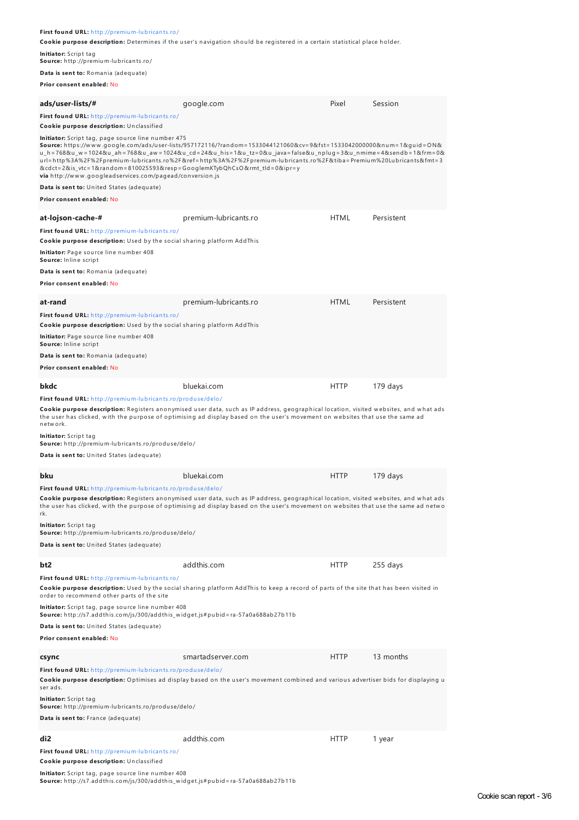| First found URL: http://premium-lubricants.ro/<br>Initiator: Script tag<br>Source: http://premium-lubricants.ro/<br>Data is sent to: Romania (adequate)                                                                                                                                  | Cookie purpose description: Determines if the user's navigation should be registered in a certain statistical place holder.                                                                                                                                                                                                                           |             |            |
|------------------------------------------------------------------------------------------------------------------------------------------------------------------------------------------------------------------------------------------------------------------------------------------|-------------------------------------------------------------------------------------------------------------------------------------------------------------------------------------------------------------------------------------------------------------------------------------------------------------------------------------------------------|-------------|------------|
| Prior consent enabled: No                                                                                                                                                                                                                                                                |                                                                                                                                                                                                                                                                                                                                                       |             |            |
| ads/user-lists/#                                                                                                                                                                                                                                                                         | google.com                                                                                                                                                                                                                                                                                                                                            | Pixel       | Session    |
| First found URL: http://premium-lubricants.ro/<br>Cookie purpose description: Unclassified                                                                                                                                                                                               |                                                                                                                                                                                                                                                                                                                                                       |             |            |
| <b>Initiator:</b> Script tag, page source line number 475<br>&cdct=2&is_vtc=1&random=810025593&resp=GooglemKTybQhCsO&rmt_tld=0&ipr=y<br><b>via</b> http://www.googleadservices.com/pagead/conversion.js<br><b>Data is sent to:</b> United States (adequate)<br>Prior consent enabled: No | Source: https://www.google.com/ads/user-lists/957172116/?random=1533044121060&cv=9&fst=1533042000000#=1&quid=ON&<br>u_h=768&u_w=1024&u_ah=768&u_aw=1024&u_cd=24&u_his=1&u_tz=0&u_java=false&u_npluq=3&u_nmime=4&sendb=1&frm=0&<br>url=http%3A%2F%2Fpremium-lubricants.ro%2F&ref=http%3A%2F%2Fpremium-lubricants.ro%2F&tiba=Premium%20Lubricants&fmt=3 |             |            |
|                                                                                                                                                                                                                                                                                          |                                                                                                                                                                                                                                                                                                                                                       |             |            |
| at-lojson-cache-#<br>First found URL: http://premium-lubricants.ro/<br>Cookie purpose description: Used by the social sharing platform AddThis<br>Initiator: Page source line number 408<br>Source: Inline script<br>Data is sent to: Romania (adequate)<br>Prior consent enabled: No    | premium-lubricants.ro                                                                                                                                                                                                                                                                                                                                 | <b>HTML</b> | Persistent |
| at-rand<br>First found URL: http://premium-lubricants.ro/<br>Cookie purpose description: Used by the social sharing platform AddThis<br>Initiator: Page source line number 408<br>Source: Inline script<br>Data is sent to: Romania (adequate)<br>Prior consent enabled: No              | premium-lubricants.ro                                                                                                                                                                                                                                                                                                                                 | <b>HTML</b> | Persistent |
| bkdc                                                                                                                                                                                                                                                                                     | bluekai.com                                                                                                                                                                                                                                                                                                                                           | <b>HTTP</b> | 179 days   |
| First found URL: http://premium-lubricants.ro/produse/delo/<br>network.<br>Initiator: Script tag<br>Source: http://premium-lubricants.ro/produse/delo/<br>Data is sent to: United States (adequate)                                                                                      | Cookie purpose description: Registers anonymised user data, such as IP address, geographical location, visited websites, and what ads<br>the user has clicked, with the purpose of optimising ad display based on the user's movement on websites that use the same ad                                                                                |             |            |
| bku                                                                                                                                                                                                                                                                                      | bluekai.com                                                                                                                                                                                                                                                                                                                                           | <b>HTTP</b> | 179 days   |
| First found URL: http://premium-lubricants.ro/produse/delo/<br>rk.<br>Initiator: Script tag<br><b>Source:</b> http://premium-lubricants.ro/produse/delo/<br><b>Data is sent to:</b> United States (adequate)                                                                             | Cookie purpose description: Registers anonymised user data, such as IP address, geographical location, visited websites, and what ads<br>the user has clicked, with the purpose of optimising ad display based on the user's movement on websites that use the same ad netwo                                                                          |             |            |
|                                                                                                                                                                                                                                                                                          |                                                                                                                                                                                                                                                                                                                                                       |             |            |
| bt2                                                                                                                                                                                                                                                                                      | addthis.com                                                                                                                                                                                                                                                                                                                                           | <b>HTTP</b> | 255 days   |
| First found URL: http://premium-lubricants.ro/<br>order to recommend other parts of the site                                                                                                                                                                                             | Cookie purpose description: Used by the social sharing platform AddThis to keep a record of parts of the site that has been visited in                                                                                                                                                                                                                |             |            |
| Initiator: Script tag, page source line number 408<br>Source: http://s7.addthis.com/js/300/addthis_widget.js#pubid=ra-57a0a688ab27b11b<br><b>Data is sent to:</b> United States (adequate)                                                                                               |                                                                                                                                                                                                                                                                                                                                                       |             |            |
| Prior consent enabled: No                                                                                                                                                                                                                                                                |                                                                                                                                                                                                                                                                                                                                                       |             |            |
| csync<br>First found URL: http://premium-lubricants.ro/produse/delo/<br>ser ads.<br>Initiator: Script tag<br>Source: http://premium-lubricants.ro/produse/delo/<br>Data is sent to: France (adequate)                                                                                    | smartadserver.com<br>Cookie purpose description: Optimises ad display based on the user's movement combined and various advertiser bids for displaying u                                                                                                                                                                                              | <b>HTTP</b> | 13 months  |

<mark>Initiator:</mark> Script tag, page source line number 408<br>**Source:** http://s7.addthis.com/js/300/addthis\_widget.js#pubid=ra-57a0a688ab27b11b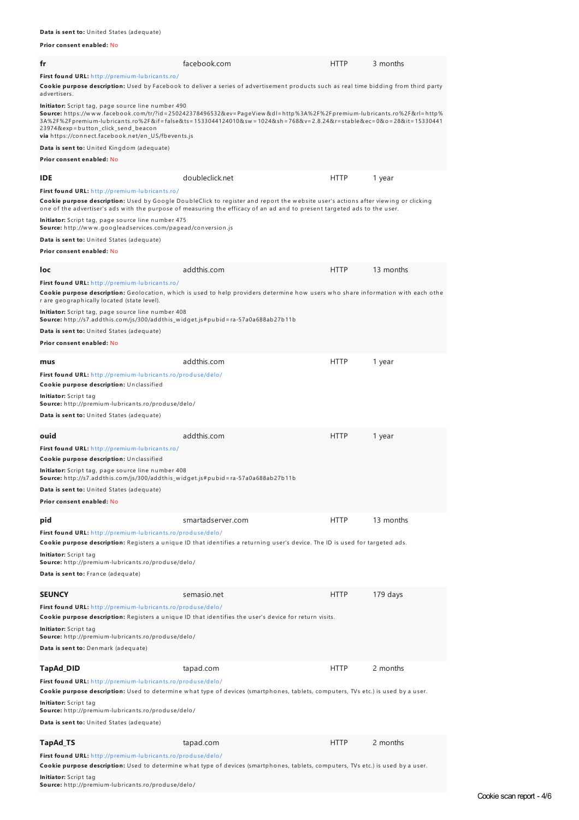**Prior consent enabled:** No

| fr                                                                                                                                                                                                                                             | facebook.com                                                                                                                                                                                                                                                          | <b>HTTP</b> | 3 months  |
|------------------------------------------------------------------------------------------------------------------------------------------------------------------------------------------------------------------------------------------------|-----------------------------------------------------------------------------------------------------------------------------------------------------------------------------------------------------------------------------------------------------------------------|-------------|-----------|
| First found URL: http://premium-lubricants.ro/<br>advertisers.                                                                                                                                                                                 | Cookie purpose description: Used by Facebook to deliver a series of advertisement products such as real time bidding from third party                                                                                                                                 |             |           |
| Initiator: Script tag, page source line number 490<br>23974&exp=button_click_send_beacon<br>via https://connect.facebook.net/en_US/fbevents.js                                                                                                 | <b>Source:</b> https://www.facebook.com/tr/?id=250242378496532&ev=PageView&dl=http%3A%2F%2Fpremium-lubricants.ro%2F&rl=http%<br>3A%2F%2Fpremium-lubricants.ro%2F&if=false&ts=1533044124010&sw=1024&sh=768&v=2.8.24&r=stable&ec=0&o=28⁢=15330441                       |             |           |
| Data is sent to: United Kingdom (adequate)<br>Prior consent enabled: No                                                                                                                                                                        |                                                                                                                                                                                                                                                                       |             |           |
| IDE                                                                                                                                                                                                                                            | doubleclick.net                                                                                                                                                                                                                                                       | <b>HTTP</b> | 1 year    |
| <b>First found URL:</b> http://premium-lubricants.ro/                                                                                                                                                                                          | <b>Cookie purpose description:</b> Used by Google DoubleClick to register and report the website user's actions after viewing or clicking<br>one of the advertiser's ads with the purpose of measuring the efficacy of an ad and to present targeted ads to the user. |             |           |
| <b>Initiator:</b> Script tag, page source line number 475<br><b>Source:</b> http://www.googleadservices.com/pagead/conversion.js                                                                                                               |                                                                                                                                                                                                                                                                       |             |           |
| <b>Data is sent to:</b> United States (adequate)<br>Prior consent enabled: No                                                                                                                                                                  |                                                                                                                                                                                                                                                                       |             |           |
|                                                                                                                                                                                                                                                |                                                                                                                                                                                                                                                                       |             |           |
| loc                                                                                                                                                                                                                                            | addthis.com                                                                                                                                                                                                                                                           | <b>HTTP</b> | 13 months |
| First found URL: http://premium-lubricants.ro/<br>r are geographically located (state level).<br><b>Initiator:</b> Script tag, page source line number 408<br>Source: http://s7.addthis.com/js/300/addthis_widget.js#pubid=ra-57a0a688ab27b11b | Cookie purpose description: Geolocation, which is used to help providers determine how users who share information with each othe                                                                                                                                     |             |           |
| <b>Data is sent to:</b> United States (adequate)                                                                                                                                                                                               |                                                                                                                                                                                                                                                                       |             |           |
| Prior consent enabled: No                                                                                                                                                                                                                      |                                                                                                                                                                                                                                                                       |             |           |
| mus                                                                                                                                                                                                                                            | addthis.com                                                                                                                                                                                                                                                           | <b>HTTP</b> | 1 year    |
| First found URL: http://premium-lubricants.ro/produse/delo/<br>Cookie purpose description: Unclassified                                                                                                                                        |                                                                                                                                                                                                                                                                       |             |           |
| <b>Initiator:</b> Script tag<br><b>Source:</b> http://premium-lubricants.ro/produse/delo/<br><b>Data is sent to:</b> United States (adequate)                                                                                                  |                                                                                                                                                                                                                                                                       |             |           |
| ouid                                                                                                                                                                                                                                           | addthis.com                                                                                                                                                                                                                                                           | <b>HTTP</b> | 1 year    |
| First found URL: http://premium-lubricants.ro/<br><b>Cookie purpose description:</b> Unclassified                                                                                                                                              |                                                                                                                                                                                                                                                                       |             |           |
| <b>Initiator:</b> Script tag, page source line number 408<br>Source: http://s7.addthis.com/js/300/addthis_widget.js#pubid=ra-57a0a688ab27b11b                                                                                                  |                                                                                                                                                                                                                                                                       |             |           |
| Data is sent to: United States (adequate)<br>Prior consent enabled: No                                                                                                                                                                         |                                                                                                                                                                                                                                                                       |             |           |
|                                                                                                                                                                                                                                                |                                                                                                                                                                                                                                                                       |             |           |
| pid                                                                                                                                                                                                                                            | smartadserver.com                                                                                                                                                                                                                                                     | <b>HTTP</b> | 13 months |
| First found URL: http://premium-lubricants.ro/produse/delo/<br><b>Initiator:</b> Script tag<br>Source: http://premium-lubricants.ro/produse/delo/<br>Data is sent to: France (adequate)                                                        | <b>Cookie purpose description:</b> Registers a unique ID that identifies a returning user's device. The ID is used for targeted ads.                                                                                                                                  |             |           |
|                                                                                                                                                                                                                                                |                                                                                                                                                                                                                                                                       |             |           |
| SEUNCY                                                                                                                                                                                                                                         | semasio.net                                                                                                                                                                                                                                                           | <b>HTTP</b> | 179 days  |
| First found URL: http://premium-lubricants.ro/produse/delo/                                                                                                                                                                                    | Cookie purpose description: Registers a unique ID that identifies the user's device for return visits.                                                                                                                                                                |             |           |
| <b>Initiator:</b> Script tag<br><b>Source:</b> http://premium-lubricants.ro/produse/delo/                                                                                                                                                      |                                                                                                                                                                                                                                                                       |             |           |
| Data is sent to: Denmark (adequate)                                                                                                                                                                                                            |                                                                                                                                                                                                                                                                       |             |           |
| TapAd_DID                                                                                                                                                                                                                                      | tapad.com                                                                                                                                                                                                                                                             | <b>HTTP</b> | 2 months  |
| First found URL: http://premium-lubricants.ro/produse/delo/                                                                                                                                                                                    |                                                                                                                                                                                                                                                                       |             |           |
| Initiator: Script tag                                                                                                                                                                                                                          | Cookie purpose description: Used to determine what type of devices (smartphones, tablets, computers, TVs etc.) is used by a user.                                                                                                                                     |             |           |
| Source: http://premium-lubricants.ro/produse/delo/<br>Data is sent to: United States (adequate)                                                                                                                                                |                                                                                                                                                                                                                                                                       |             |           |
| TapAd_TS                                                                                                                                                                                                                                       | tapad.com                                                                                                                                                                                                                                                             | <b>HTTP</b> | 2 months  |
| First found URL: http://premium-lubricants.ro/produse/delo/                                                                                                                                                                                    |                                                                                                                                                                                                                                                                       |             |           |
|                                                                                                                                                                                                                                                | Cookie purpose description: Used to determine what type of devices (smartphones, tablets, computers, TVs etc.) is used by a user.                                                                                                                                     |             |           |

**Initiator:** Script tag **Source:** h ttp://premium-lu brican ts.ro/produ se/delo/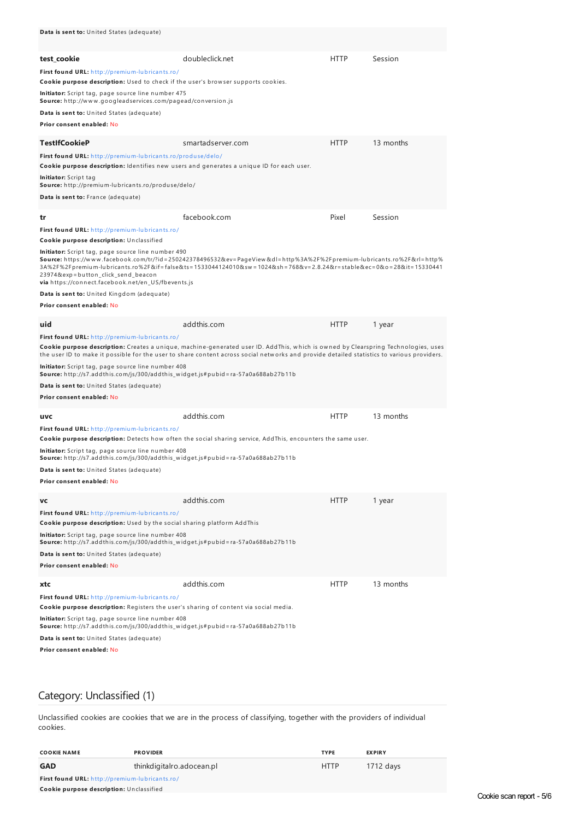| Data is sent to: United States (adequate)                                                                                                                |                                                                                                                                                                                                                                                                                         |             |           |
|----------------------------------------------------------------------------------------------------------------------------------------------------------|-----------------------------------------------------------------------------------------------------------------------------------------------------------------------------------------------------------------------------------------------------------------------------------------|-------------|-----------|
| test cookie                                                                                                                                              | doubleclick.net                                                                                                                                                                                                                                                                         | <b>HTTP</b> | Session   |
| First found URL: http://premium-lubricants.ro/<br>Cookie purpose description: Used to check if the user's browser supports cookies.                      |                                                                                                                                                                                                                                                                                         |             |           |
| <b>Initiator:</b> Script tag, page source line number 475<br><b>Source:</b> http://www.googleadservices.com/pagead/conversion.js                         |                                                                                                                                                                                                                                                                                         |             |           |
| Data is sent to: United States (adequate)                                                                                                                |                                                                                                                                                                                                                                                                                         |             |           |
| Prior consent enabled: No                                                                                                                                |                                                                                                                                                                                                                                                                                         |             |           |
| TestIfCookieP                                                                                                                                            | smartadserver.com                                                                                                                                                                                                                                                                       | <b>HTTP</b> | 13 months |
| First found URL: http://premium-lubricants.ro/produse/delo/<br>Cookie purpose description: Identifies new users and generates a unique ID for each user. |                                                                                                                                                                                                                                                                                         |             |           |
| <b>Initiator:</b> Script tag<br>Source: http://premium-lubricants.ro/produse/delo/                                                                       |                                                                                                                                                                                                                                                                                         |             |           |
| Data is sent to: France (adequate)                                                                                                                       |                                                                                                                                                                                                                                                                                         |             |           |
| tr                                                                                                                                                       | facebook.com                                                                                                                                                                                                                                                                            | Pixel       | Session   |
| First found URL: http://premium-lubricants.ro/                                                                                                           |                                                                                                                                                                                                                                                                                         |             |           |
| Cookie purpose description: Unclassified                                                                                                                 |                                                                                                                                                                                                                                                                                         |             |           |
| Initiator: Script tag, page source line number 490<br>23974&exp=button_click_send_beacon<br>via https://connect.facebook.net/en_US/fbevents.js           | <b>Source:</b> https://www.facebook.com/tr/?id=250242378496532&ev=PageView&dl=http%3A%2F%2Fpremium-lubricants.ro%2F&rl=http%<br>3A%2F%2Fpremium-lubricants.ro%2F&if=false&ts=1533044124010&sw=1024&sh=768&v=2.8.24&r=stable&ec=0&o=28⁢=15330441                                         |             |           |
| Data is sent to: United Kingdom (adequate)                                                                                                               |                                                                                                                                                                                                                                                                                         |             |           |
| Prior consent enabled: No                                                                                                                                |                                                                                                                                                                                                                                                                                         |             |           |
| uid                                                                                                                                                      | addthis.com                                                                                                                                                                                                                                                                             | <b>HTTP</b> | 1 year    |
| First found URL: http://premium-lubricants.ro/                                                                                                           | <b>Cookie purpose description:</b> Creates a unique, machine-generated user ID. AddThis, which is owned by Clearspring Technologies, uses<br>the user ID to make it possible for the user to share content across social networks and provide detailed statistics to various providers. |             |           |
| Initiator: Script tag, page source line number 408<br><b>Source:</b> http://s7.addthis.com/js/300/addthis_widget.js#pubid=ra-57a0a688ab27b11b            |                                                                                                                                                                                                                                                                                         |             |           |
| <b>Data is sent to:</b> United States (adequate)                                                                                                         |                                                                                                                                                                                                                                                                                         |             |           |
| Prior consent enabled: No                                                                                                                                |                                                                                                                                                                                                                                                                                         |             |           |
| uvc                                                                                                                                                      | addthis.com                                                                                                                                                                                                                                                                             | <b>HTTP</b> | 13 months |
| First found URL: http://premium-lubricants.ro/                                                                                                           | Cookie purpose description: Detects how often the social sharing service, AddThis, encounters the same user.                                                                                                                                                                            |             |           |
| Initiator: Script tag, page source line number 408<br><b>Source:</b> http://s7.addthis.com/js/300/addthis_widget.js#pubid=ra-57a0a688ab27b11b            |                                                                                                                                                                                                                                                                                         |             |           |
| Data is sent to: United States (adequate)                                                                                                                |                                                                                                                                                                                                                                                                                         |             |           |
| Prior consent enabled: No                                                                                                                                |                                                                                                                                                                                                                                                                                         |             |           |
| VC<br>First found URL: http://premium-lubricants.ro/                                                                                                     | addthis.com                                                                                                                                                                                                                                                                             | <b>HTTP</b> | 1 year    |
| Cookie purpose description: Used by the social sharing platform AddThis                                                                                  |                                                                                                                                                                                                                                                                                         |             |           |
| Initiator: Script tag, page source line number 408<br><b>Source:</b> http://s7.addthis.com/js/300/addthis_widget.js#pubid=ra-57a0a688ab27b11b            |                                                                                                                                                                                                                                                                                         |             |           |
| Data is sent to: United States (adequate)<br>Prior consent enabled: No                                                                                   |                                                                                                                                                                                                                                                                                         |             |           |
|                                                                                                                                                          | addthis.com                                                                                                                                                                                                                                                                             | <b>HTTP</b> | 13 months |
| xtc<br>First found URL: http://premium-lubricants.ro/                                                                                                    |                                                                                                                                                                                                                                                                                         |             |           |
| Cookie purpose description: Registers the user's sharing of content via social media.                                                                    |                                                                                                                                                                                                                                                                                         |             |           |
| Initiator: Script tag, page source line number 408<br><b>Source:</b> http://s7.addthis.com/js/300/addthis_widget.js#pubid=ra-57a0a688ab27b11b            |                                                                                                                                                                                                                                                                                         |             |           |
| Data is sent to: United States (adequate)<br>Prior consent enabled: No                                                                                   |                                                                                                                                                                                                                                                                                         |             |           |

# Category: Unclassified (1)

Unclassified cookies are cookies that we are in the process of classifying, together with the providers of individual cookies.

| <b>COOKIE NAME</b>                             | <b>PROVIDER</b>           | <b>TYPE</b> | <b>EXPIRY</b> |
|------------------------------------------------|---------------------------|-------------|---------------|
| <b>GAD</b>                                     | thinkdigitalro.adocean.pl | <b>HTTP</b> | 1712 days     |
| First found URL: http://premium-lubricants.ro/ |                           |             |               |
| Cookie purpose description: Unclassified       |                           |             |               |

Cookie scan report - 5/6